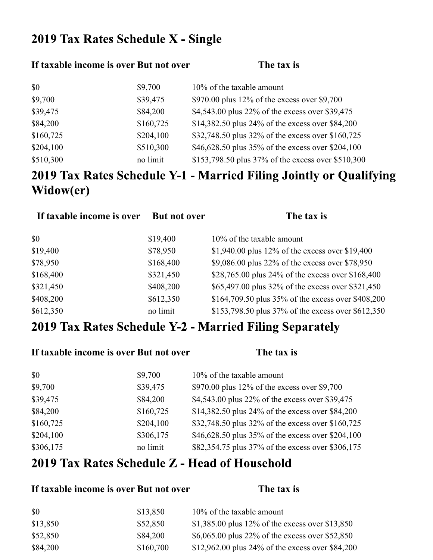## 2019 Tax Rates Schedule X - Single

#### **If taxable income is over But not over The tax is**

| \$0       | \$9,700   | 10% of the taxable amount                          |
|-----------|-----------|----------------------------------------------------|
| \$9,700   | \$39,475  | \$970.00 plus $12\%$ of the excess over \$9,700    |
| \$39,475  | \$84,200  | \$4,543.00 plus 22% of the excess over \$39,475    |
| \$84,200  | \$160,725 | \$14,382.50 plus 24% of the excess over \$84,200   |
| \$160,725 | \$204,100 | \$32,748.50 plus 32% of the excess over \$160,725  |
| \$204,100 | \$510,300 | \$46,628.50 plus 35% of the excess over \$204,100  |
| \$510,300 | no limit  | \$153,798.50 plus 37% of the excess over \$510,300 |

# 2019 Tax Rates Schedule Y-1 - Married Filing Jointly or Qualifying Widow(er)

| If taxable income is over | <b>But not over</b> | The tax is                                         |
|---------------------------|---------------------|----------------------------------------------------|
| \$0                       | \$19,400            | 10% of the taxable amount                          |
| \$19,400                  | \$78,950            | \$1,940.00 plus 12% of the excess over \$19,400    |
| \$78,950                  | \$168,400           | \$9,086.00 plus 22% of the excess over \$78,950    |
| \$168,400                 | \$321,450           | \$28,765.00 plus 24% of the excess over \$168,400  |
| \$321,450                 | \$408,200           | \$65,497.00 plus 32% of the excess over \$321,450  |
| \$408,200                 | \$612,350           | \$164,709.50 plus 35% of the excess over \$408,200 |
| \$612,350                 | no limit            | \$153,798.50 plus 37% of the excess over \$612,350 |

### 2019 Tax Rates Schedule Y-2 - Married Filing Separately

| If taxable income is over But not over |           | The tax is                                        |
|----------------------------------------|-----------|---------------------------------------------------|
| \$0                                    | \$9,700   | 10% of the taxable amount                         |
| \$9,700                                | \$39,475  | \$970.00 plus 12% of the excess over \$9,700      |
| \$39,475                               | \$84,200  | \$4,543.00 plus 22% of the excess over \$39,475   |
| \$84,200                               | \$160,725 | \$14,382.50 plus 24% of the excess over \$84,200  |
| \$160,725                              | \$204,100 | \$32,748.50 plus 32% of the excess over \$160,725 |
| \$204,100                              | \$306,175 | \$46,628.50 plus 35% of the excess over \$204,100 |
| \$306,175                              | no limit  | \$82,354.75 plus 37% of the excess over \$306,175 |

#### 2019 Tax Rates Schedule Z - Head of Household

#### **If taxable income is over But not over The tax is**

| \$0      | \$13,850  | $10\%$ of the taxable amount                     |
|----------|-----------|--------------------------------------------------|
| \$13,850 | \$52,850  | \$1,385.00 plus 12% of the excess over \$13,850  |
| \$52,850 | \$84,200  | \$6,065.00 plus 22% of the excess over \$52,850  |
| \$84,200 | \$160,700 | \$12,962.00 plus 24% of the excess over \$84,200 |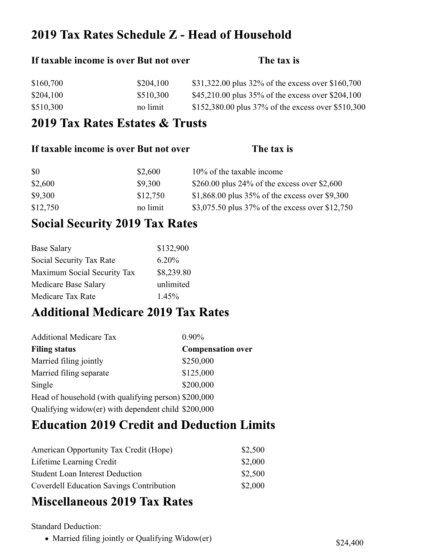### 2019 Tax Rates Schedule Z - Head of Household

# If taxable income is over But not over **The tax** is \$160,700 \$204,100 \$31,322.00 plus 32% of the excess over \$160,700 \$204,100 \$510,300 \$45,210.00 plus 35% of the excess over \$204,100 \$510,300 no limit \$152,380.00 plus 37% of the excess over \$510,300

#### 2019 Tax Rates Estates & Trusts

| If taxable income is over But not over |          | The tax is                                        |
|----------------------------------------|----------|---------------------------------------------------|
| <b>SO</b>                              | \$2,600  | 10% of the taxable income                         |
| \$2,600                                | \$9,300  | \$260.00 plus 24% of the excess over \$2,600      |
| \$9,300                                | \$12,750 | \$1,868.00 plus $35\%$ of the excess over \$9,300 |
| \$12,750                               | no limit | \$3,075.50 plus 37% of the excess over \$12,750   |

### **Social Security 2019 Tax Rates**

| <b>Base Salary</b>          | \$132,900  |
|-----------------------------|------------|
| Social Security Tax Rate    | 6.20%      |
| Maximum Social Security Tax | \$8,239.80 |
| Medicare Base Salary        | unlimited  |
| Medicare Tax Rate           | 1.45%      |

### **Additional Medicare 2019 Tax Rates**

| <b>Additional Medicare Tax</b>                       | $0.90\%$                 |
|------------------------------------------------------|--------------------------|
| <b>Filing status</b>                                 | <b>Compensation over</b> |
| Married filing jointly                               | \$250,000                |
| Married filing separate                              | \$125,000                |
| Single                                               | \$200,000                |
| Head of household (with qualifying person) \$200,000 |                          |
| Qualifying widow(er) with dependent child \$200,000  |                          |

## **Education 2019 Credit and Deduction Limits**

| American Opportunity Tax Credit (Hope)          | \$2,500 |
|-------------------------------------------------|---------|
| Lifetime Learning Credit                        | \$2,000 |
| <b>Student Loan Interest Deduction</b>          | \$2,500 |
| <b>Coverdell Education Savings Contribution</b> | \$2,000 |

### **Miscellaneous 2019 Tax Rates**

Standard Deduction:

• Married filing jointly or Qualifying Widow(er) \$24,400